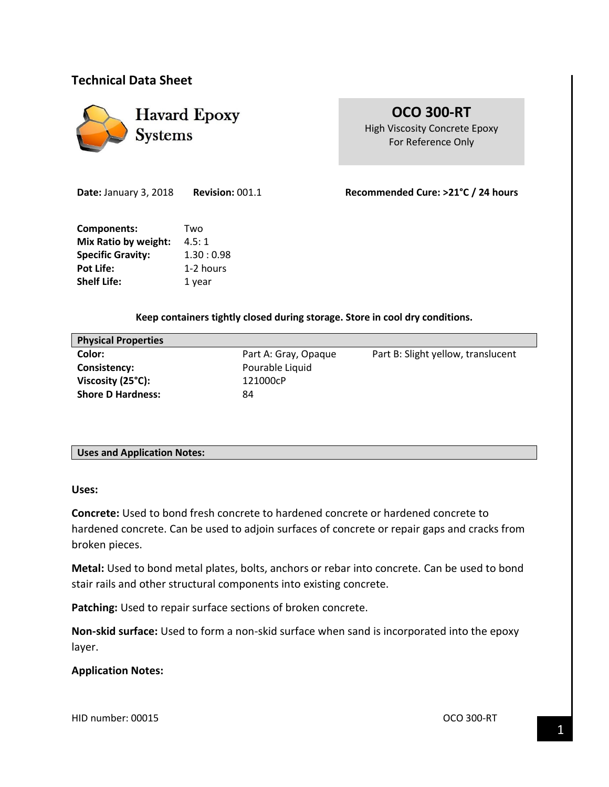## **Technical Data Sheet**



**OCO 300-RT** High Viscosity Concrete Epoxy For Reference Only

**Date:** January 3, 2018 **Revision:** 001.1 **Recommended Cure: >21°C / 24 hours**

**Components:** Two **Mix Ratio by weight:** 4.5:1 **Specific Gravity:** 1.30 : 0.98 Pot Life: 1-2 hours **Shelf Life:** 1 year

**Keep containers tightly closed during storage. Store in cool dry conditions.**

| <b>Physical Properties</b> |                      |                                    |
|----------------------------|----------------------|------------------------------------|
| Color:                     | Part A: Gray, Opaque | Part B: Slight yellow, translucent |
| Consistency:               | Pourable Liquid      |                                    |
| Viscosity (25°C):          | 121000cP             |                                    |
| <b>Shore D Hardness:</b>   | 84                   |                                    |
|                            |                      |                                    |

## **Uses and Application Notes:**

**Uses:**

**Concrete:** Used to bond fresh concrete to hardened concrete or hardened concrete to hardened concrete. Can be used to adjoin surfaces of concrete or repair gaps and cracks from broken pieces.

**Metal:** Used to bond metal plates, bolts, anchors or rebar into concrete. Can be used to bond stair rails and other structural components into existing concrete.

Patching: Used to repair surface sections of broken concrete.

**Non-skid surface:** Used to form a non-skid surface when sand is incorporated into the epoxy layer.

## **Application Notes:**